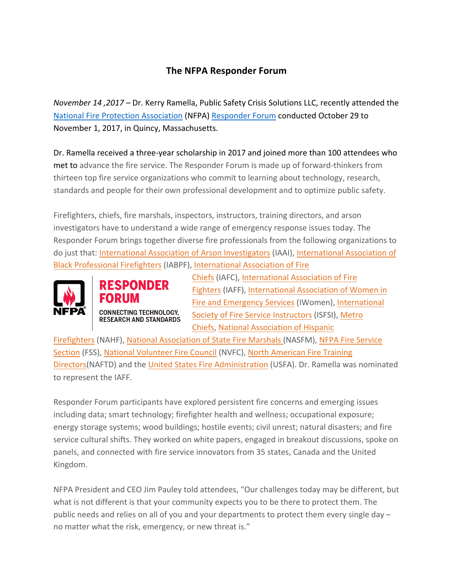## **The NFPA Responder Forum**

*November 14, 2017* – Dr. Kerry Ramella, Public Safety Crisis Solutions LLC, recently attended the National Fire Protection Association (NFPA) Responder Forum conducted October 29 to November 1, 2017, in Quincy, Massachusetts.

Dr. Ramella received a three-year scholarship in 2017 and joined more than 100 attendees who met to advance the fire service. The Responder Forum is made up of forward-thinkers from thirteen top fire service organizations who commit to learning about technology, research, standards and people for their own professional development and to optimize public safety.

Firefighters, chiefs, fire marshals, inspectors, instructors, training directors, and arson investigators have to understand a wide range of emergency response issues today. The Responder Forum brings together diverse fire professionals from the following organizations to do just that: International Association of Arson Investigators (IAAI), International Association of Black Professional Firefighters (IABPF), International Association of Fire



**RESPONDER CONNECTING TECHNOLOGY. RESEARCH AND STANDARDS**  Chiefs (IAFC), International Association of Fire Fighters (IAFF), International Association of Women in Fire and Emergency Services (IWomen), International Society of Fire Service Instructors (ISFSI), Metro Chiefs, National Association of Hispanic

Firefighters (NAHF), National Association of State Fire Marshals (NASFM), NFPA Fire Service Section (FSS), National Volunteer Fire Council (NVFC), North American Fire Training Directors(NAFTD) and the United States Fire Administration (USFA). Dr. Ramella was nominated to represent the IAFF.

Responder Forum participants have explored persistent fire concerns and emerging issues including data; smart technology; firefighter health and wellness; occupational exposure; energy storage systems; wood buildings; hostile events; civil unrest; natural disasters; and fire service cultural shifts. They worked on white papers, engaged in breakout discussions, spoke on panels, and connected with fire service innovators from 35 states, Canada and the United Kingdom.

NFPA President and CEO Jim Pauley told attendees, "Our challenges today may be different, but what is not different is that your community expects you to be there to protect them. The public needs and relies on all of you and your departments to protect them every single day no matter what the risk, emergency, or new threat is."